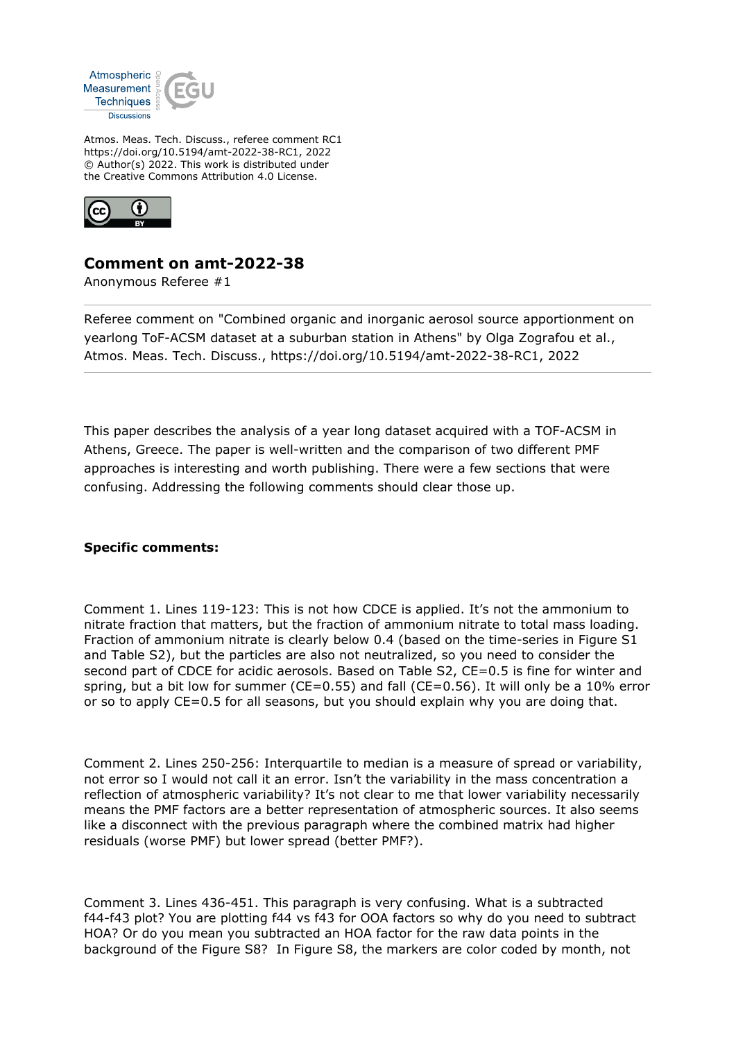

Atmos. Meas. Tech. Discuss., referee comment RC1 https://doi.org/10.5194/amt-2022-38-RC1, 2022 © Author(s) 2022. This work is distributed under the Creative Commons Attribution 4.0 License.



## **Comment on amt-2022-38**

Anonymous Referee #1

Referee comment on "Combined organic and inorganic aerosol source apportionment on yearlong ToF-ACSM dataset at a suburban station in Athens" by Olga Zografou et al., Atmos. Meas. Tech. Discuss., https://doi.org/10.5194/amt-2022-38-RC1, 2022

This paper describes the analysis of a year long dataset acquired with a TOF-ACSM in Athens, Greece. The paper is well-written and the comparison of two different PMF approaches is interesting and worth publishing. There were a few sections that were confusing. Addressing the following comments should clear those up.

## **Specific comments:**

Comment 1. Lines 119-123: This is not how CDCE is applied. It's not the ammonium to nitrate fraction that matters, but the fraction of ammonium nitrate to total mass loading. Fraction of ammonium nitrate is clearly below 0.4 (based on the time-series in Figure S1 and Table S2), but the particles are also not neutralized, so you need to consider the second part of CDCE for acidic aerosols. Based on Table S2, CE=0.5 is fine for winter and spring, but a bit low for summer ( $CE=0.55$ ) and fall ( $CE=0.56$ ). It will only be a 10% error or so to apply CE=0.5 for all seasons, but you should explain why you are doing that.

Comment 2. Lines 250-256: Interquartile to median is a measure of spread or variability, not error so I would not call it an error. Isn't the variability in the mass concentration a reflection of atmospheric variability? It's not clear to me that lower variability necessarily means the PMF factors are a better representation of atmospheric sources. It also seems like a disconnect with the previous paragraph where the combined matrix had higher residuals (worse PMF) but lower spread (better PMF?).

Comment 3. Lines 436-451. This paragraph is very confusing. What is a subtracted f44-f43 plot? You are plotting f44 vs f43 for OOA factors so why do you need to subtract HOA? Or do you mean you subtracted an HOA factor for the raw data points in the background of the Figure S8? In Figure S8, the markers are color coded by month, not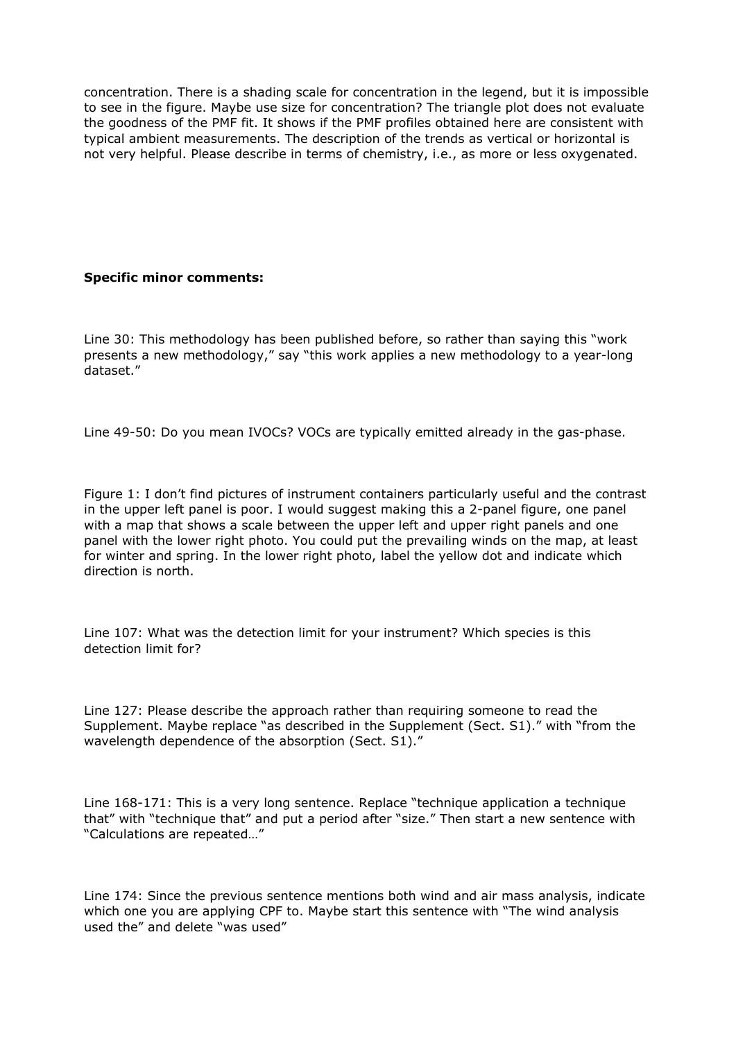concentration. There is a shading scale for concentration in the legend, but it is impossible to see in the figure. Maybe use size for concentration? The triangle plot does not evaluate the goodness of the PMF fit. It shows if the PMF profiles obtained here are consistent with typical ambient measurements. The description of the trends as vertical or horizontal is not very helpful. Please describe in terms of chemistry, i.e., as more or less oxygenated.

## **Specific minor comments:**

Line 30: This methodology has been published before, so rather than saying this "work presents a new methodology," say "this work applies a new methodology to a year-long dataset."

Line 49-50: Do you mean IVOCs? VOCs are typically emitted already in the gas-phase.

Figure 1: I don't find pictures of instrument containers particularly useful and the contrast in the upper left panel is poor. I would suggest making this a 2-panel figure, one panel with a map that shows a scale between the upper left and upper right panels and one panel with the lower right photo. You could put the prevailing winds on the map, at least for winter and spring. In the lower right photo, label the yellow dot and indicate which direction is north.

Line 107: What was the detection limit for your instrument? Which species is this detection limit for?

Line 127: Please describe the approach rather than requiring someone to read the Supplement. Maybe replace "as described in the Supplement (Sect. S1)." with "from the wavelength dependence of the absorption (Sect. S1)."

Line 168-171: This is a very long sentence. Replace "technique application a technique that" with "technique that" and put a period after "size." Then start a new sentence with "Calculations are repeated…"

Line 174: Since the previous sentence mentions both wind and air mass analysis, indicate which one you are applying CPF to. Maybe start this sentence with "The wind analysis used the" and delete "was used"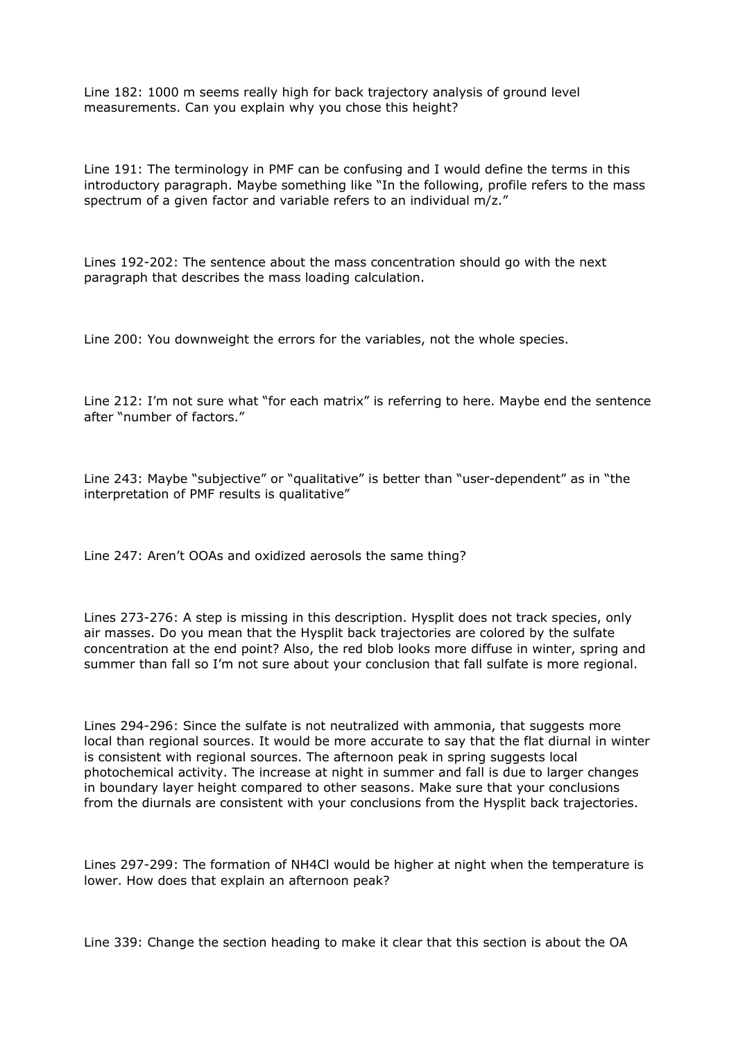Line 182: 1000 m seems really high for back trajectory analysis of ground level measurements. Can you explain why you chose this height?

Line 191: The terminology in PMF can be confusing and I would define the terms in this introductory paragraph. Maybe something like "In the following, profile refers to the mass spectrum of a given factor and variable refers to an individual m/z."

Lines 192-202: The sentence about the mass concentration should go with the next paragraph that describes the mass loading calculation.

Line 200: You downweight the errors for the variables, not the whole species.

Line 212: I'm not sure what "for each matrix" is referring to here. Maybe end the sentence after "number of factors."

Line 243: Maybe "subjective" or "qualitative" is better than "user-dependent" as in "the interpretation of PMF results is qualitative"

Line 247: Aren't OOAs and oxidized aerosols the same thing?

Lines 273-276: A step is missing in this description. Hysplit does not track species, only air masses. Do you mean that the Hysplit back trajectories are colored by the sulfate concentration at the end point? Also, the red blob looks more diffuse in winter, spring and summer than fall so I'm not sure about your conclusion that fall sulfate is more regional.

Lines 294-296: Since the sulfate is not neutralized with ammonia, that suggests more local than regional sources. It would be more accurate to say that the flat diurnal in winter is consistent with regional sources. The afternoon peak in spring suggests local photochemical activity. The increase at night in summer and fall is due to larger changes in boundary layer height compared to other seasons. Make sure that your conclusions from the diurnals are consistent with your conclusions from the Hysplit back trajectories.

Lines 297-299: The formation of NH4Cl would be higher at night when the temperature is lower. How does that explain an afternoon peak?

Line 339: Change the section heading to make it clear that this section is about the OA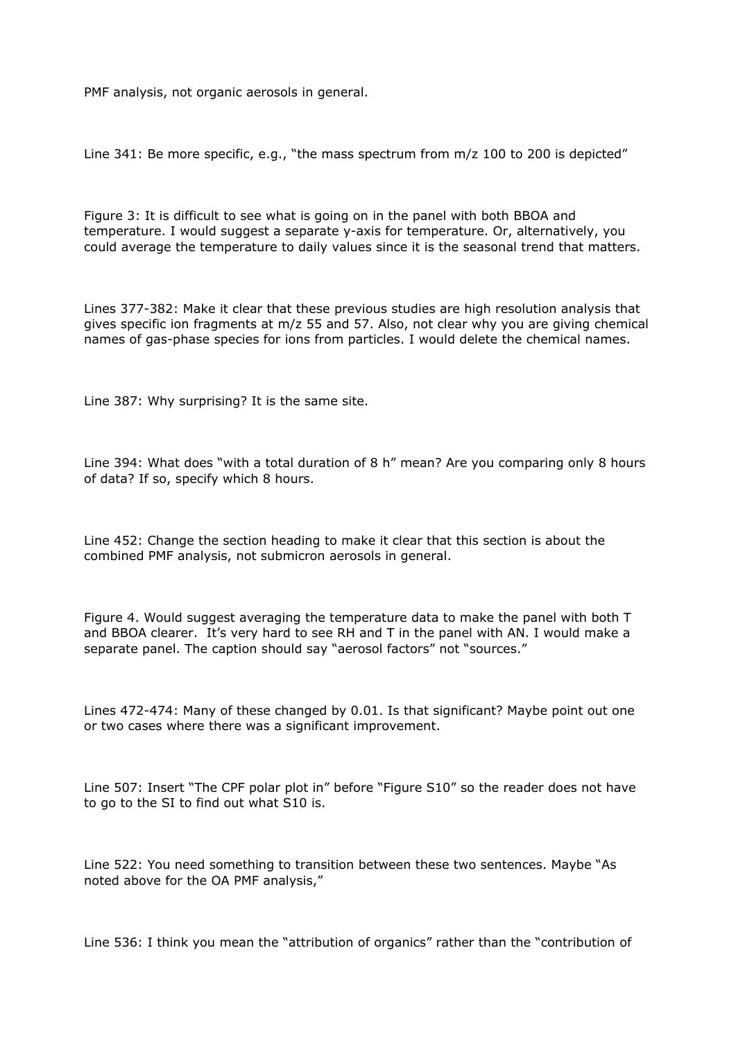PMF analysis, not organic aerosols in general.

Line 341: Be more specific, e.g., "the mass spectrum from m/z 100 to 200 is depicted"

Figure 3: It is difficult to see what is going on in the panel with both BBOA and temperature. I would suggest a separate y-axis for temperature. Or, alternatively, you could average the temperature to daily values since it is the seasonal trend that matters.

Lines 377-382: Make it clear that these previous studies are high resolution analysis that gives specific ion fragments at m/z 55 and 57. Also, not clear why you are giving chemical names of gas-phase species for ions from particles. I would delete the chemical names.

Line 387: Why surprising? It is the same site.

Line 394: What does "with a total duration of 8 h" mean? Are you comparing only 8 hours of data? If so, specify which 8 hours.

Line 452: Change the section heading to make it clear that this section is about the combined PMF analysis, not submicron aerosols in general.

Figure 4. Would suggest averaging the temperature data to make the panel with both T and BBOA clearer. It's very hard to see RH and T in the panel with AN. I would make a separate panel. The caption should say "aerosol factors" not "sources."

Lines 472-474: Many of these changed by 0.01. Is that significant? Maybe point out one or two cases where there was a significant improvement.

Line 507: Insert "The CPF polar plot in" before "Figure S10" so the reader does not have to go to the SI to find out what S10 is.

Line 522: You need something to transition between these two sentences. Maybe "As noted above for the OA PMF analysis,"

Line 536: I think you mean the "attribution of organics" rather than the "contribution of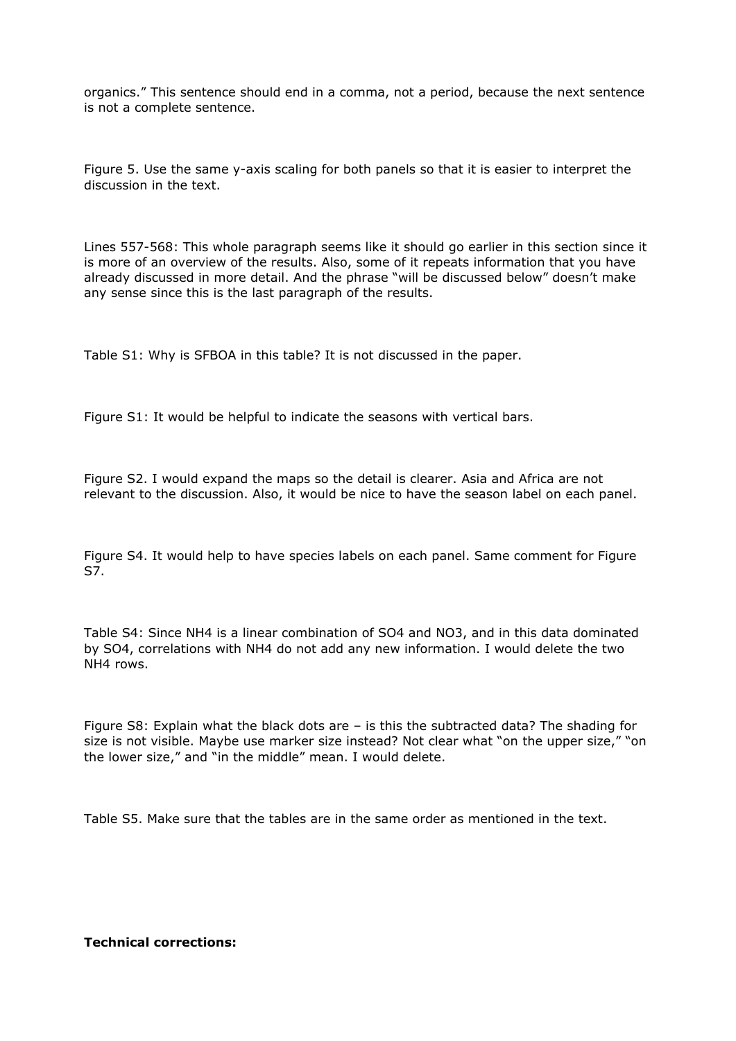organics." This sentence should end in a comma, not a period, because the next sentence is not a complete sentence.

Figure 5. Use the same y-axis scaling for both panels so that it is easier to interpret the discussion in the text.

Lines 557-568: This whole paragraph seems like it should go earlier in this section since it is more of an overview of the results. Also, some of it repeats information that you have already discussed in more detail. And the phrase "will be discussed below" doesn't make any sense since this is the last paragraph of the results.

Table S1: Why is SFBOA in this table? It is not discussed in the paper.

Figure S1: It would be helpful to indicate the seasons with vertical bars.

Figure S2. I would expand the maps so the detail is clearer. Asia and Africa are not relevant to the discussion. Also, it would be nice to have the season label on each panel.

Figure S4. It would help to have species labels on each panel. Same comment for Figure S7.

Table S4: Since NH4 is a linear combination of SO4 and NO3, and in this data dominated by SO4, correlations with NH4 do not add any new information. I would delete the two NH4 rows.

Figure S8: Explain what the black dots are – is this the subtracted data? The shading for size is not visible. Maybe use marker size instead? Not clear what "on the upper size," "on the lower size," and "in the middle" mean. I would delete.

Table S5. Make sure that the tables are in the same order as mentioned in the text.

**Technical corrections:**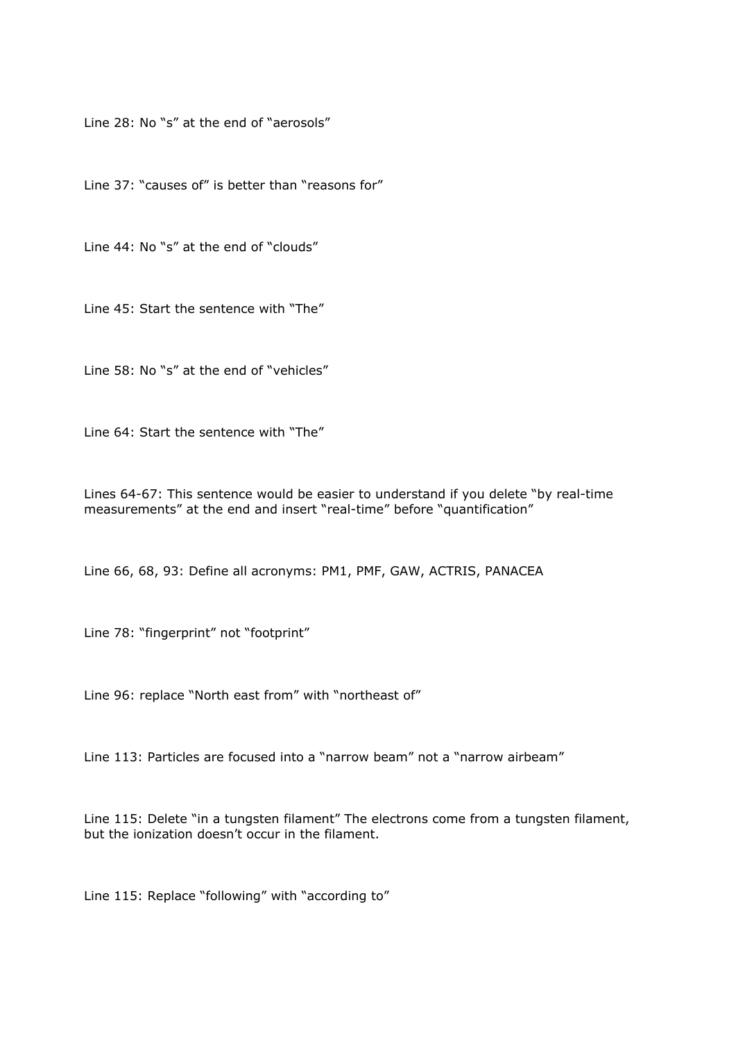Line 28: No "s" at the end of "aerosols"

Line 37: "causes of" is better than "reasons for"

Line 44: No "s" at the end of "clouds"

Line 45: Start the sentence with "The"

Line 58: No "s" at the end of "vehicles"

Line 64: Start the sentence with "The"

Lines 64-67: This sentence would be easier to understand if you delete "by real-time measurements" at the end and insert "real-time" before "quantification"

Line 66, 68, 93: Define all acronyms: PM1, PMF, GAW, ACTRIS, PANACEA

Line 78: "fingerprint" not "footprint"

Line 96: replace "North east from" with "northeast of"

Line 113: Particles are focused into a "narrow beam" not a "narrow airbeam"

Line 115: Delete "in a tungsten filament" The electrons come from a tungsten filament, but the ionization doesn't occur in the filament.

Line 115: Replace "following" with "according to"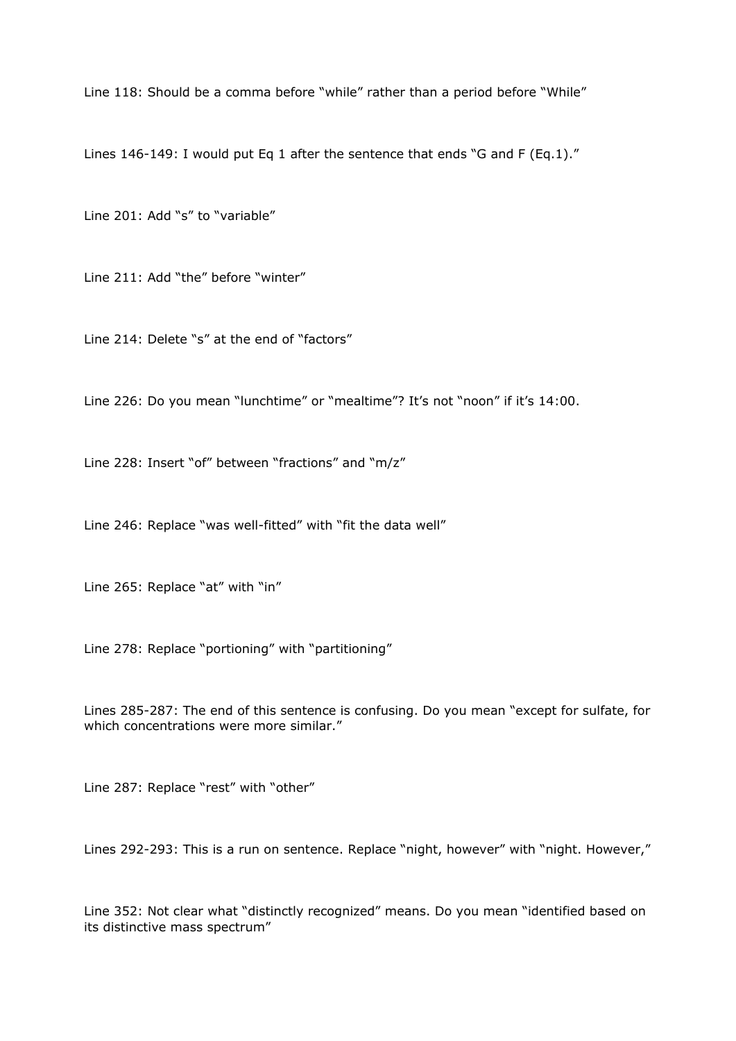Line 118: Should be a comma before "while" rather than a period before "While"

Lines 146-149: I would put Eq 1 after the sentence that ends "G and F (Eq.1)."

Line 201: Add "s" to "variable"

Line 211: Add "the" before "winter"

Line 214: Delete "s" at the end of "factors"

Line 226: Do you mean "lunchtime" or "mealtime"? It's not "noon" if it's 14:00.

Line 228: Insert "of" between "fractions" and "m/z"

Line 246: Replace "was well-fitted" with "fit the data well"

Line 265: Replace "at" with "in"

Line 278: Replace "portioning" with "partitioning"

Lines 285-287: The end of this sentence is confusing. Do you mean "except for sulfate, for which concentrations were more similar."

Line 287: Replace "rest" with "other"

Lines 292-293: This is a run on sentence. Replace "night, however" with "night. However,"

Line 352: Not clear what "distinctly recognized" means. Do you mean "identified based on its distinctive mass spectrum"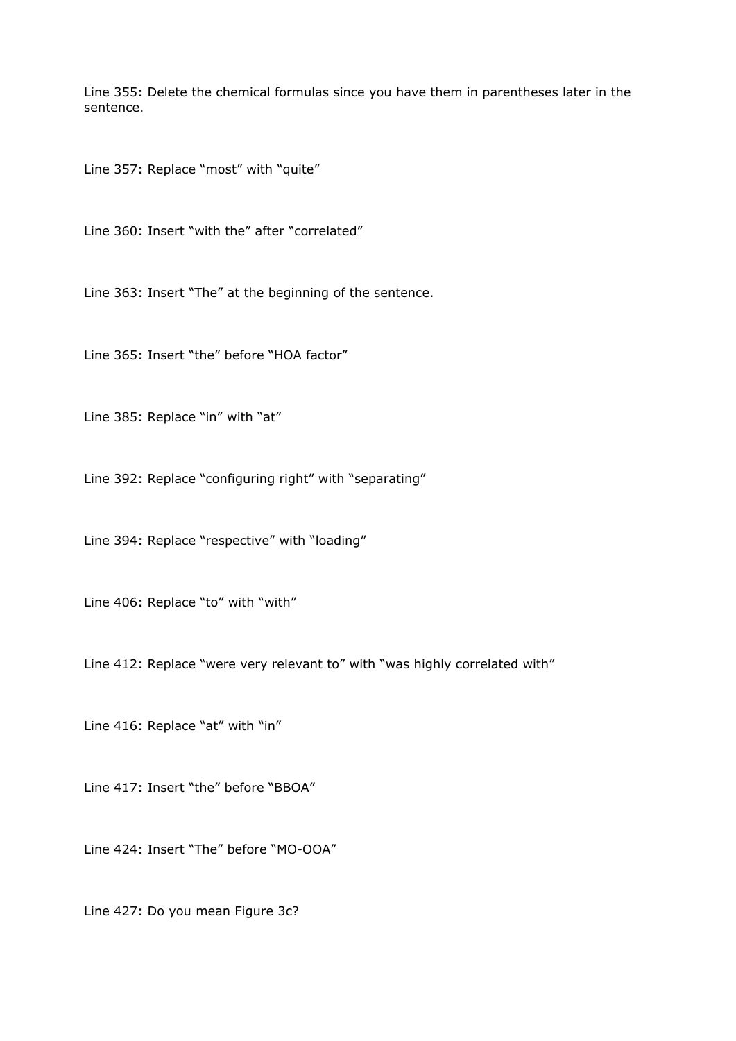Line 355: Delete the chemical formulas since you have them in parentheses later in the sentence.

Line 357: Replace "most" with "quite"

Line 360: Insert "with the" after "correlated"

Line 363: Insert "The" at the beginning of the sentence.

Line 365: Insert "the" before "HOA factor"

Line 385: Replace "in" with "at"

Line 392: Replace "configuring right" with "separating"

Line 394: Replace "respective" with "loading"

Line 406: Replace "to" with "with"

Line 412: Replace "were very relevant to" with "was highly correlated with"

Line 416: Replace "at" with "in"

Line 417: Insert "the" before "BBOA"

Line 424: Insert "The" before "MO-OOA"

Line 427: Do you mean Figure 3c?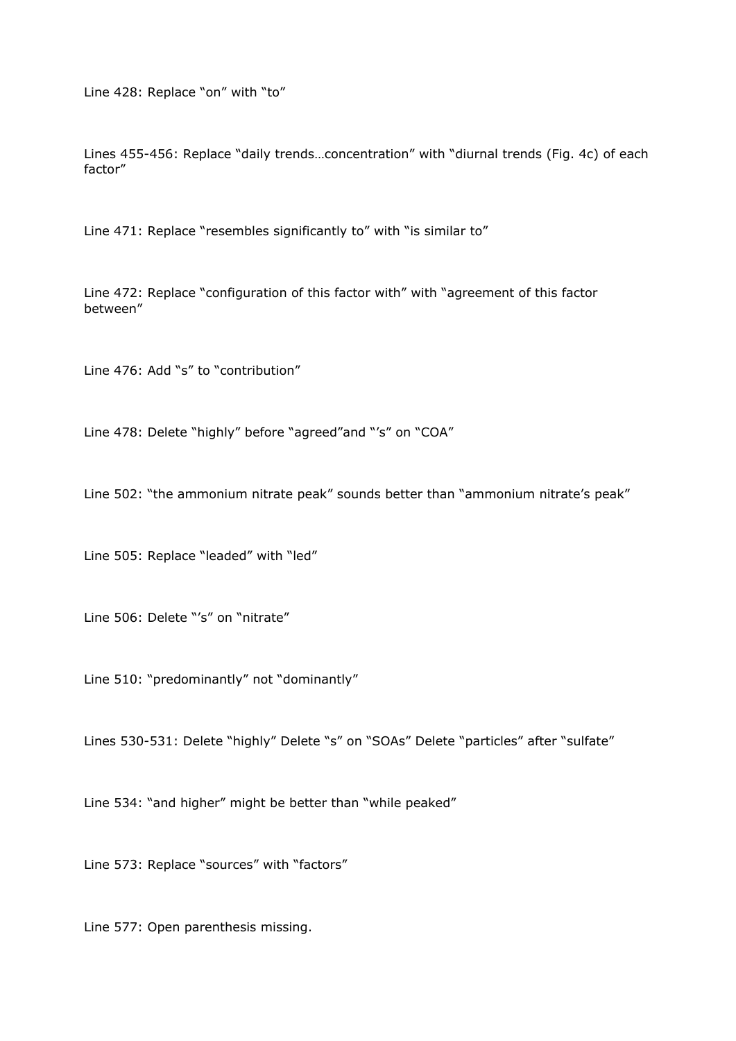Line 428: Replace "on" with "to"

Lines 455-456: Replace "daily trends…concentration" with "diurnal trends (Fig. 4c) of each factor"

Line 471: Replace "resembles significantly to" with "is similar to"

Line 472: Replace "configuration of this factor with" with "agreement of this factor between"

Line 476: Add "s" to "contribution"

Line 478: Delete "highly" before "agreed"and "'s" on "COA"

Line 502: "the ammonium nitrate peak" sounds better than "ammonium nitrate's peak"

Line 505: Replace "leaded" with "led"

Line 506: Delete "'s" on "nitrate"

Line 510: "predominantly" not "dominantly"

Lines 530-531: Delete "highly" Delete "s" on "SOAs" Delete "particles" after "sulfate"

Line 534: "and higher" might be better than "while peaked"

Line 573: Replace "sources" with "factors"

Line 577: Open parenthesis missing.